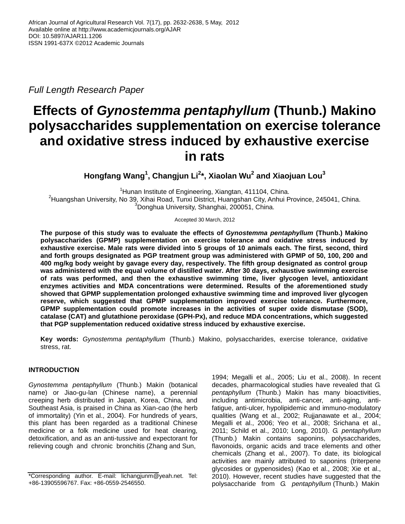*Full Length Research Paper*

# **Effects of** *Gynostemma pentaphyllum* **(Thunb.) Makino polysaccharides supplementation on exercise tolerance and oxidative stress induced by exhaustive exercise in rats**

**Hongfang Wang<sup>1</sup> , Changjun Li<sup>2</sup> \*, Xiaolan Wu<sup>2</sup> and Xiaojuan Lou 3**

<sup>1</sup>Hunan Institute of Engineering, Xiangtan, 411104, China. <sup>2</sup>Huangshan University, No 39, Xihai Road, Tunxi District, Huangshan City, Anhui Province, 245041, China. <sup>3</sup>Donghua University, Shanghai, 200051, China.

Accepted 30 March, 2012

**The purpose of this study was to evaluate the effects of** *Gynostemma pentaphyllum* **(Thunb.) Makino polysaccharides (GPMP) supplementation on exercise tolerance and oxidative stress induced by exhaustive exercise. Male rats were divided into 5 groups of 10 animals each. The first, second, third and forth groups designated as PGP treatment group was administered with GPMP of 50, 100, 200 and 400 mg/kg body weight by gavage every day, respectively. The fifth group designated as control group was administered with the equal volume of distilled water. After 30 days, exhaustive swimming exercise of rats was performed, and then the exhaustive swimming time, liver glycogen level, antioxidant enzymes activities and MDA concentrations were determined. Results of the aforementioned study showed that GPMP supplementation prolonged exhaustive swimming time and improved liver glycogen reserve, which suggested that GPMP supplementation improved exercise tolerance. Furthermore, GPMP supplementation could promote increases in the activities of super oxide dismutase (SOD), catalase (CAT) and glutathione peroxidase (GPH-Px), and reduce MDA concentrations, which suggested that PGP supplementation reduced oxidative stress induced by exhaustive exercise.**

**Key words:** *Gynostemma pentaphyllum* (Thunb.) Makino, polysaccharides, exercise tolerance, oxidative stress, rat.

# **INTRODUCTION**

*Gynostemma pentaphyllum* (Thunb.) Makin (botanical name) or Jiao-gu-lan (Chinese name), a perennial creeping herb distributed in Japan, Korea, China, and Southeast Asia, is praised in China as Xian-cao (the herb of immortality) (Yin et al., 2004). For hundreds of years, this plant has been regarded as a traditional Chinese medicine or a folk medicine used for heat clearing, detoxification, and as an anti-tussive and expectorant for relieving cough and chronic bronchitis (Zhang and Sun,

1994; Megalli et al., 2005; Liu et al., 2008). In recent decades, pharmacological studies have revealed that *G. pentaphyllum* (Thunb.) Makin has many bioactivities, including antimicrobia, anti-cancer, anti-aging, antifatigue, anti-ulcer, hypolipidemic and immuno-modulatory qualities (Wang et al., 2002; Rujjanawate et al., 2004; Megalli et al., 2006; Yeo et al., 2008; Srichana et al., 2011; Schild et al., 2010; Long, 2010). *G. pentaphyllum*  (Thunb.) Makin contains saponins, polysaccharides, flavonoids, organic acids and trace elements and other chemicals (Zhang et al., 2007). To date, its biological activities are mainly attributed to saponins (triterpene glycosides or gypenosides) (Kao et al., 2008; Xie et al., 2010). However, recent studies have suggested that the polysaccharide from *G. pentaphyllum* (Thunb.) Makin

<sup>\*</sup>Corresponding author. E-mail: lichangjunm@yeah.net. Tel: +86-13905596767. Fax: +86-0559-2546550.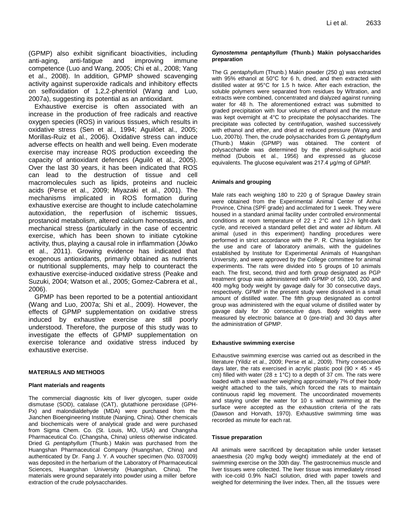(GPMP) also exhibit significant bioactivities, including anti-aging, anti-fatigue and improving immune competence (Luo and Wang, 2005; Chi et al., 2008; Yang et al., 2008). In addition, GPMP showed scavenging activity against superoxide radicals and inhibitory effects on selfoxidation of 1,2,2-phentriol (Wang and Luo, 2007a), suggesting its potential as an antioxidant.

Exhaustive exercise is often associated with an increase in the production of free radicals and reactive oxygen species (ROS) in various tissues, which results in oxidative stress (Sen et al., 1994; Aguilóet al., 2005; Morillas-Ruiz et al., 2006). Oxidative stress can induce adverse effects on health and well being. Even moderate exercise may increase ROS production exceeding the capacity of antioxidant defences (Aguiló et al., 2005). Over the last 30 years, it has been indicated that ROS can lead to the destruction of tissue and cell macromolecules such as lipids, proteins and nucleic acids (Perse et al., 2009; Miyazaki et al., 2001). The mechanisms implicated in ROS formation during exhaustive exercise are thought to include catecholamine autoxidation, the reperfusion of ischemic tissues, prostanoid metabolism, altered calcium homeostasis, and mechanical stress (particularly in the case of eccentric exercise, which has been shown to initiate cytokine activity, thus, playing a causal role in inflammation (Jówko et al., 2011). Growing evidence has indicated that exogenous antioxidants, primarily obtained as nutrients or nutritional supplements, may help to counteract the exhaustive exercise-induced oxidative stress (Peake and Suzuki, 2004; Watson et al., 2005; Gomez-Cabrera et al., 2006).

GPMP has been reported to be a potential antioxidant (Wang and Luo, 2007a; Shi et al., 2009). However, the effects of GPMP supplementation on oxidative stress induced by exhaustive exercise are still poorly understood. Therefore, the purpose of this study was to investigate the effects of GPMP supplementation on exercise tolerance and oxidative stress induced by exhaustive exercise.

## **MATERIALS AND METHODS**

## **Plant materials and reagents**

The commercial diagnostic kits of liver glycogen, super oxide dismutase (SOD), catalase (CAT), glutathione peroxidase (GPH-Px) and malondialdehyde (MDA) were purchased from the Jianchen Bioengineering Institute (Nanjing, China). Other chemicals and biochemicals were of analytical grade and were purchased from Sigma Chem. Co. (St. Louis, MO, USA) and Changsha Pharmaceutical Co. (Changsha, China) unless otherwise indicated. Dried *G. pentaphyllum* (Thunb.) Makin was purchased from the Huangshan Pharmaceutical Company (Huangshan, China) and authenticated by Dr. Fang J. Y. A voucher specimen (No. 037009) was deposited in the herbarium of the Laboratory of Pharmaceutical Sciences, Huangshan University (Huangshan, China). The materials were ground separately into powder using a miller before extraction of the crude polysaccharides.

## *Gynostemma pentaphyllum* **(Thunb.) Makin polysaccharides preparation**

The *G. pentaphyllum* (Thunb.) Makin powder (250 g) was extracted with 95% ethanol at 50°C for 6 h, dried, and then extracted with distilled water at 95°C for 1.5 h twice. After each extraction, the soluble polymers were separated from residues by Wltration, and extracts were combined, concentrated and dialyzed against running water for 48 h. The aforementioned extract was submitted to graded precipitation with four volumes of ethanol and the mixture was kept overnight at 4°C to precipitate the polysaccharides. The precipitate was collected by centrifugation, washed successively with ethanol and ether, and dried at reduced pressure (Wang and Luo, 2007b). Then, the crude polysaccharides from *G. pentaphyllum*  (Thunb.) Makin (GPMP) was obtained. The content of polysaccharide was determined by the phenol-sulphuric acid method (Dubois et al., 1956) and expressed as glucose equivalents. The glucose equivalent was 217.4 μg/mg of GPMP.

## **Animals and grouping**

Male rats each weighing 180 to 220 g of Sprague Dawley strain were obtained from the Experimental Animal Center of Anhui Province, China (SPF grade) and acclimated for 1 week. They were housed in a standard animal facility under controlled environmental conditions at room temperature of  $22 \pm 2^{\circ}$ C and 12-h light-dark cycle, and received a standard pellet diet and water *ad libitum*. All animal (used in this experiment) handling procedures were performed in strict accordance with the P. R. China legislation for the use and care of laboratory animals, with the guidelines established by Institute for Experimental Animals of Huangshan University, and were approved by the College committee for animal experiments. The rats were divided into 5 groups of 10 animals each. The first, second, third and forth group designated as PGP treatment group was administered with GPMP of 50, 100, 200 and 400 mg/kg body weight by gavage daily for 30 consecutive days, respectively. GPMP in the present study were dissolved in a small amount of distilled water. The fifth group designated as control group was administered with the equal volume of distilled water by gavage daily for 30 consecutive days. Body weights were measured by electronic balance at 0 (pre-trial) and 30 days after the administration of GPMP.

## **Exhaustive swimming exercise**

Exhaustive swimming exercise was carried out as described in the literature (Yildiz et al., 2009; Perse et al., 2009). Thirty consecutive days later, the rats exercised in acrylic plastic pool (90  $\times$  45  $\times$  45 cm) filled with water (28  $\pm$  1°C) to a depth of 37 cm. The rats were loaded with a steel washer weighing approximately 7% of their body weight attached to the tails, which forced the rats to maintain continuous rapid leg movement. The uncoordinated movements and staying under the water for 10 s without swimming at the surface were accepted as the exhaustion criteria of the rats (Dawson and Horvath, 1970). Exhaustive swimming time was recorded as minute for each rat.

## **Tissue preparation**

All animals were sacrificed by decapitation while under ketaset anaesthesia (20 mg/kg body weight) immediately at the end of swimming exercise on the 30th day. The gastrocnemius muscle and liver tissues were collected. The liver tissue was immediately rinsed with ice-cold 0.9% NaCl solution, dried with paper towels and weighed for determining the liver index. Then, all the tissues were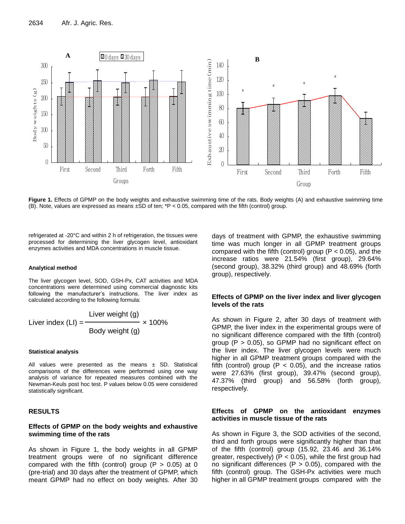

**Figure 1.** Effects of GPMP on the body weights and exhaustive swimming time of the rats. Body weights (A) and exhaustive swimming time (B). Note, values are expressed as means ±SD of ten; \*P < 0.05, compared with the fifth (control) group.

refrigerated at -20°C and within 2 h of refrigeration, the tissues were processed for determining the liver glycogen level, antioxidant enzymes activities and MDA concentrations in muscle tissue.

#### **Analytical method**

The liver glycogen level, SOD, GSH-Px, CAT activities and MDA concentrations were determined using commercial diagnostic kits following the manufacturer's instructions. The liver index as calculated according to the following formula:

Liver index (LI) = 
$$
\frac{\text{Liver weight (g)}}{\text{Body weight (g)}} \times 100\%
$$

#### **Statistical analysis**

All values were presented as the means  $\pm$  SD. Statistical comparisons of the differences were performed using one way analysis of variance for repeated measures combined with the Newman-Keuls post hoc test. P values below 0.05 were considered statistically significant.

# **RESULTS**

# **Effects of GPMP on the body weights and exhaustive swimming time of the rats**

As shown in Figure 1, the body weights in all GPMP treatment groups were of no significant difference compared with the fifth (control) group ( $P > 0.05$ ) at 0 (pre-trial) and 30 days after the treatment of GPMP, which meant GPMP had no effect on body weights. After 30 days of treatment with GPMP, the exhaustive swimming time was much longer in all GPMP treatment groups compared with the fifth (control) group ( $P < 0.05$ ), and the increase ratios were 21.54% (first group), 29.64% (second group), 38.32% (third group) and 48.69% (forth group), respectively.

# **Effects of GPMP on the liver index and liver glycogen levels of the rats**

As shown in Figure 2, after 30 days of treatment with GPMP, the liver index in the experimental groups were of no significant difference compared with the fifth (control) group  $(P > 0.05)$ , so GPMP had no significant effect on the liver index. The liver glycogen levels were much higher in all GPMP treatment groups compared with the fifth (control) group ( $P < 0.05$ ), and the increase ratios were 27.63% (first group), 39.47% (second group), 47.37% (third group) and 56.58% (forth group), respectively.

# **Effects of GPMP on the antioxidant enzymes activities in muscle tissue of the rats**

As shown in Figure 3, the SOD activities of the second, third and forth groups were significantly higher than that of the fifth (control) group (15.92, 23.46 and 36.14% greater, respectively) ( $P < 0.05$ ), while the first group had no significant differences ( $P > 0.05$ ), compared with the fifth (control) group. The GSH-Px activities were much higher in all GPMP treatment groups compared with the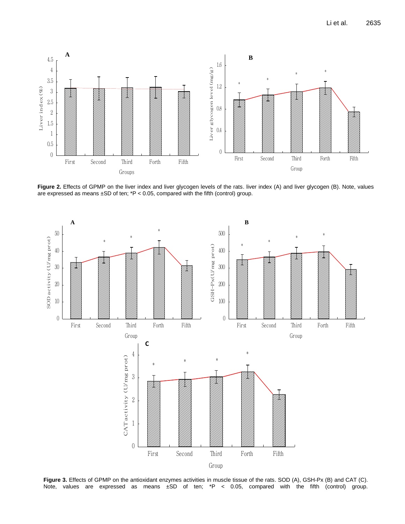

**Figure 2.** Effects of GPMP on the liver index and liver glycogen levels of the rats. liver index (A) and liver glycogen (B). Note, values are expressed as means  $\pm$ SD of ten;  $*P < 0.05$ , compared with the fifth (control) group.



**Figure 3.** Effects of GPMP on the antioxidant enzymes activities in muscle tissue of the rats. SOD (A), GSH-Px (B) and CAT (C). Note, values are expressed as means  $\pm$ SD of ten; \*P < 0.05, compared with the fifth (control) group.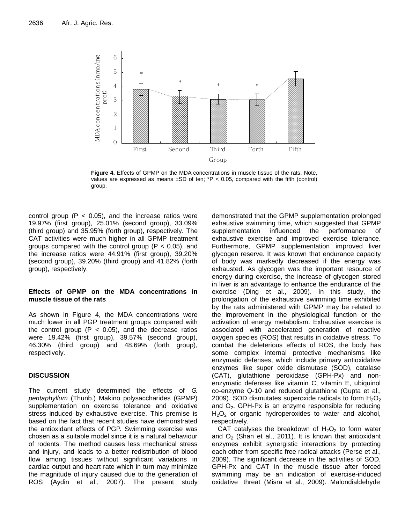

**Figure 4.** Effects of GPMP on the MDA concentrations in muscle tissue of the rats. Note, values are expressed as means  $\pm SD$  of ten;  $\pm P$  < 0.05, compared with the fifth (control) group.

control group  $(P < 0.05)$ , and the increase ratios were 19.97% (first group), 25.01% (second group), 33.09% (third group) and 35.95% (forth group), respectively. The CAT activities were much higher in all GPMP treatment groups compared with the control group ( $P < 0.05$ ), and the increase ratios were 44.91% (first group), 39.20% (second group), 39.20% (third group) and 41.82% (forth group), respectively.

# **Effects of GPMP on the MDA concentrations in muscle tissue of the rats**

As shown in Figure 4, the MDA concentrations were much lower in all PGP treatment groups compared with the control group  $(P < 0.05)$ , and the decrease ratios were 19.42% (first group), 39.57% (second group), 46.30% (third group) and 48.69% (forth group), respectively.

# **DISCUSSION**

The current study determined the effects of *G. pentaphyllum* (Thunb.) Makino polysaccharides (GPMP) supplementation on exercise tolerance and oxidative stress induced by exhaustive exercise. This premise is based on the fact that recent studies have demonstrated the antioxidant effects of PGP. Swimming exercise was chosen as a suitable model since it is a natural behaviour of rodents. The method causes less mechanical stress and injury, and leads to a better redistribution of blood flow among tissues without significant variations in cardiac output and heart rate which in turn may minimize the magnitude of injury caused due to the generation of ROS (Aydin et al., 2007). The present study demonstrated that the GPMP supplementation prolonged exhaustive swimming time, which suggested that GPMP supplementation influenced the performance of exhaustive exercise and improved exercise tolerance. Furthermore, GPMP supplementation improved liver glycogen reserve. It was known that endurance capacity of body was markedly decreased if the energy was exhausted. As glycogen was the important resource of energy during exercise, the increase of glycogen stored in liver is an advantage to enhance the endurance of the exercise (Ding et al., 2009). In this study, the prolongation of the exhaustive swimming time exhibited by the rats administered with GPMP may be related to the improvement in the physiological function or the activation of energy metabolism. Exhaustive exercise is associated with accelerated generation of reactive oxygen species (ROS) that results in oxidative stress. To combat the deleterious effects of ROS, the body has some complex internal protective mechanisms like enzymatic defenses, which include primary antioxidative enzymes like super oxide dismutase (SOD), catalase (CAT), glutathione peroxidase (GPH-Px) and nonenzymatic defenses like vitamin C, vitamin E, ubiquinol co-enzyme Q-10 and reduced glutathione (Gupta et al., 2009). SOD dismutates superoxide radicals to form  $H_2O_2$ and  $O<sub>2</sub>$ . GPH-Px is an enzyme responsible for reducing  $H<sub>2</sub>O<sub>2</sub>$  or organic hydroperoxides to water and alcohol, respectively.

CAT catalyses the breakdown of  $H_2O_2$  to form water and  $O<sub>2</sub>$  (Shan et al., 2011). It is known that antioxidant enzymes exhibit synergistic interactions by protecting each other from specific free radical attacks (Perse et al., 2009). The significant decrease in the activities of SOD, GPH-Px and CAT in the muscle tissue after forced swimming may be an indication of exercise-induced oxidative threat (Misra et al., 2009). Malondialdehyde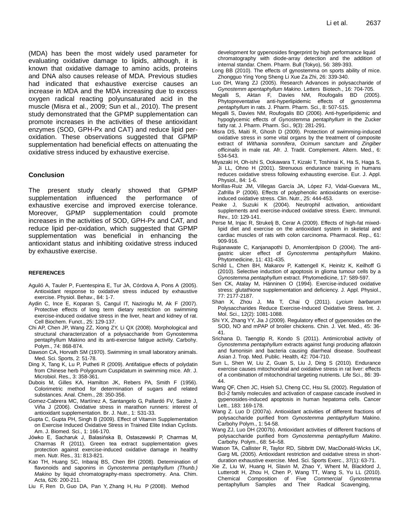(MDA) has been the most widely used parameter for evaluating oxidative damage to lipids, although, it is known that oxidative damage to amino acids, proteins and DNA also causes release of MDA. Previous studies had indicated that exhaustive exercise causes an increase in MDA and the MDA increasing due to excess oxygen radical reacting polyunsaturated acid in the muscle (Misra et al., 2009; Sun et al., 2010). The present study demonstrated that the GPMP supplementation can promote increases in the activities of these antioxidant enzymes (SOD, GPH-Px and CAT) and reduce lipid peroxidation. These observations suggested that GPMP supplementation had beneficial effects on attenuating the oxidative stress induced by exhaustive exercise.

## **Conclusion**

The present study clearly showed that GPMP supplementation influenced the performance of exhaustive exercise and improved exercise tolerance. Moreover, GPMP supplementation could promote increases in the activities of SOD, GPH-Px and CAT, and reduce lipid per-oxidation, which suggested that GPMP supplementation was beneficial in enhancing the antioxidant status and inhibiting oxidative stress induced by exhaustive exercise.

## **REFERENCES**

- Aguiló A, Tauler P, Fuentespina E, Tur JA, Córdova A, Pons A (2005). Antioxidant response to oxidative stress induced by exhaustive exercise. Physiol. Behav., 84: 1-7.
- Aydin C, Ince E, Koparan S, Cangul IT, Naziroglu M, Ak F (2007). Protective effects of long term dietary restriction on swimming exercise-induced oxidative stress in the liver, heart and kidney of rat. Cell Biochem. Funct., 25: 129-137.
- Chi AP, Chen JP, Wang ZZ, Xiong ZY, Li QX (2008). Morphological and structural characterization of a polysaccharide from Gynostemma pentaphyllum Makino and its anti-exercise fatigue activity. Carbohy. Polym., 74: 868-874.
- Dawson CA, Horvath SM (1970). Swimming in small laboratory animals. Med. Sci. Sports, 2: 51-78.
- Ding X, Tang K, Lu P, Putheti R (2009). Antifatigue effects of polydatin from Chinese herb Polygonum Cuspidatum in swimming mice. Afr. J. Microbiol. Res., 3: 358-361.
- Dubois M, Gilles KA, Hamilton JK, Rebers PA, Smith F (1956). Colorimetric method for determination of sugars and related substances. Anal. Chem., 28: 350-356.
- Gomez-Cabrera MC, Martínez A, Santangelo G, Pallardó FV, Sastre J, Viña J (2006). Oxidative stress in marathon runners: interest of antioxidant supplementation. Br. J. Nutr., 1: S31-33.
- Gupta C, Gupta PH, Singh B (2009). Effect of Vitamin Supplementation on Exercise Induced Oxidative Stress in Trained Elite Indian Cyclists. Am. J. Biomed. Sci., 1: 166-170.
- Jówko E, Sacharuk J, Balasińska B, Ostaszewski P, Charmas M, Charmas R (2011). Green tea extract supplementation gives protection against exercise-induced oxidative damage in healthy men. Nutr. Res., 31: 813-821.
- Kao TH, Huang SC, Inbaraj BS, Chen BH (2008). Determination of flavonoids and saponins in *Gynostemma pentaphyllum (Thunb.) Makino* by liquid chromatography-mass spectrometry. Ana. Chim. Acta, 626: 200-211.
- Liu F, Ren D, Guo DA, Pan Y, Zhang H, Hu P (2008). Method

development for gypenosides fingerprint by high performance liquid chromatography with diode-array detection and the addition of internal standar. Chem. Pharm. Bull (Tokyo), 56: 389-393.

- Long BB (2010). The effects of gynostemma on sports ability of mice. Zhongguo Ying Yong Sheng Li Xue Za Zhi, 26: 339-340.
- Luo DH, Wang ZJ (2005). Research Advances in polysaccharide of *Gynostemm apentaphyllum Makino*. Letters Biotech., 16: 704-705.
- Megalli S, Aktan F, Davies NM, Roufogalis BD (2005).<br>Phytopreventative anti-hyperlipidemic effects of gynostemma Phytopreventative anti-hyperlipidemic effects of *pentaphyllum* in rats. J. Pharm. Pharm. Sci., 8: 507-515.
- Megalli S, Davies NM, Roufogalis BD (2006). Anti-hyperlipidemic and hypoglycemic effects of *Gynostemma pentaphyllum* in the Zucker fatty rat. J. Pharm. Pharm. Sci., 9(3): 281-291.
- Misra DS, Maiti R, Ghosh D (2009). Protection of swimming-induced oxidative stress in some vital organs by the treatment of composite extract of *Withania somnifera*, *Ocimum sanctum* and *Zingiber officinalis* in male rat. Afr. J. Tradit. Complement. Altern. Med., 6: 534-543.
- Miyazaki H, Oh-ishi S, Ookawara T, Kizaki T, Toshinai K, Ha S, Haga S, Ji LL, Ohno H (2001). Strenuous endurance training in humans reduces oxidative stress following exhausting exercise. Eur. J. Appl. Physiol., 84: 1-6.
- Morillas-Ruiz JM, Villegas García JA, López FJ, Vidal-Guevara ML, Zafrilla P (2006). Effects of polyphenolic antioxidants on exerciseinduced oxidative stress. Clin. Nutr., 25: 444-453.
- Peake J, Suzuki K (2004). Neutrophil activation, antioxidant supplements and exercise-induced oxidative stress. Exerc. Immunol. Rev., 10: 129-141.
- Perse M, Injac R, Strukelj B, Cerar A (2009). Effects of high-fat mixedlipid diet and exercise on the antioxidant system in skeletal and cardiac muscles of rats with colon carcinoma. Pharmacol. Rep., 61: 909-916.
- Rujjanawate C, Kanjanapothi D, Amornlerdpison D (2004). The antigastric ulcer effect of *Gynostemma pentaphyllum* Makino. Phytomedicine, 11: 431-435.
- Schild L, Chen BH, Makarov P, Kattengell K, Heinitz K, Keilhoff G (2010). Selective induction of apoptosis in glioma tumour cells by a *Gynostemma pentaphyllum* extract. Phytomedicine, 17: 589-597.
- Sen CK, Atalay M, Hänninen O (1994). Exercise-induced oxidative stress: glutathione supplementation and deficiency. J. Appl. Physiol., 77: 2177-2187.
- Shan X, Zhou J, Ma T, Chai Q (2011). *Lycium barbarum*  Polysaccharides Reduce Exercise-Induced Oxidative Stress. Int. J. Mol. Sci., 12(2): 1081-1088.
- Shi YX, Zhang YY, Jia J (2009). Regulatory effect of gypenosides on the SOD, NO and mPAP of broiler chickens. Chin. J. Vet. Med., 45: 36- 41.
- Srichana D, Taengtip R, Kondo S (2011). Antimicrobial activity of *Gynostemma pentaphyllum* extracts against fungi producing aflatoxin and fumonisin and bacteria causing diarrheal disease. Southeast Asian J. Trop. Med. Public. Health, 42: 704-710.
- Sun L, Shen W, Liu Z, Guan S, Liu J, Ding S (2010). Endurance exercise causes mitochondrial and oxidative stress in rat liver: effects of a combination of mitochondrial targeting nutrients. Life Sci., 86: 39- 44.
- Wang QF, Chen JC, Hsieh SJ, Cheng CC, Hsu SL (2002). Regulation of Bcl-2 family molecules and activation of caspase cascade involved in gypenosides-induced apoptosis in human hepatoma cells. Cancer Lett., 183: 169-178.
- Wang Z. Luo D (2007a). Antioxidant activities of different fractions of polysaccharide purified from *Gynostemma pentaphyllum* Makino. Carbohy Polym., 1: 54-58.
- Wang ZJ, Luo DH (2007b). Antioxidant activities of different fractions of polysaccharide purified from *Gynostemma pentaphyllum Makino*. Carbohy. Polym., 68: 54–58.
- Watson TA, Callister R, Taylor RD, Sibbritt DW, MacDonald-Wicks LK, Garg ML (2005). Antioxidant restriction and oxidative stress in shortduration exhaustive exercise. Med. Sci. Sports Exerc., 37(1): 63-71.
- Xie Z, Liu W, Huang H, Slavin M, Zhao Y, Whent M, Blackford J, Lutterodt H, Zhou H, Chen P, Wang TT, Wang S, Yu LL (2010). Chemical Composition of Five *Commercial Gynostemma* pentaphyllum Samples and Their Radical Scavenging,